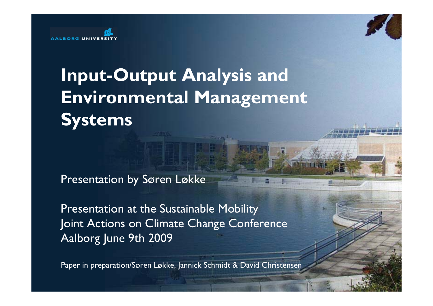

# **Input-Output Analysis and Environmental Management Systems**

Presentation by Søren Løkke

Presentation at the Sustainable Mobility Joint Actions on Climate Change Conference Aalborg June 9th 2009

Paper in preparation/Søren Løkke, Jannick Schmidt & David Christensen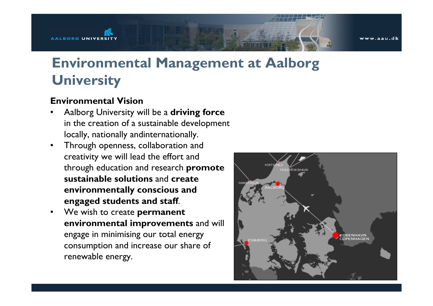www.aau.dk

## **Environmental Management at Aalborg University**

#### **Environmental Vision**

- • Aalborg University will be a **driving force** in the creation of a sustainable development locally, nationally andinternationally.
- • Through openness, collaboration and creativity we will lead the effort and through education and research **promote sustainable solutions** and **create environmentally conscious and engaged students and staff**.
- • We wish to create **permanen<sup>t</sup> environmental improvements** and will engage in minimising our total energy consumption and increase our share of renewable energy.

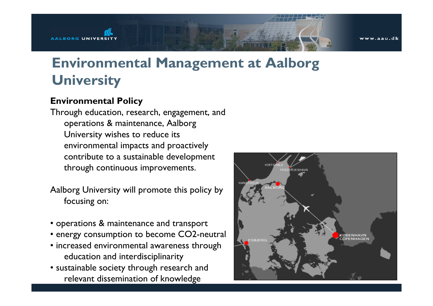www.aau.dk

# **Environmental Management at Aalborg University**

#### **Environmental Policy**

Through education, research, engagement, and operations & maintenance, Aalborg University wishes to reduce its environmental impacts and proactively contribute to a sustainable development through continuous improvements.

Aalborg University will promote this policy by focusing on:

- operations & maintenance and transport
- energy consumption to become CO2-neutral
- increased environmental awareness through education and interdisciplinarity
- sustainable society through research and relevant dissemination of knowledge

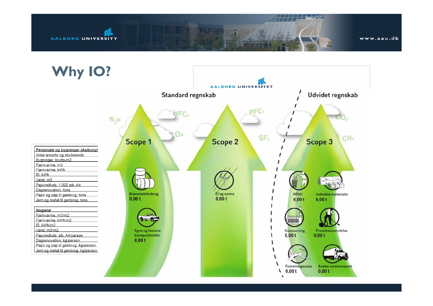

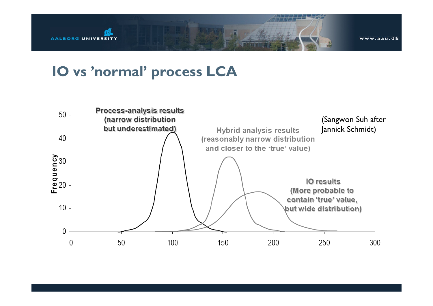

www.aau.dk

### **IO vs 'normal' process LCA**

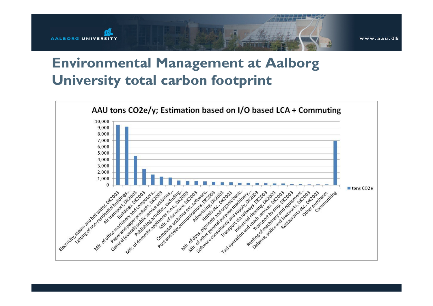

### **Environmental Management at Aalborg University total carbon footprint**